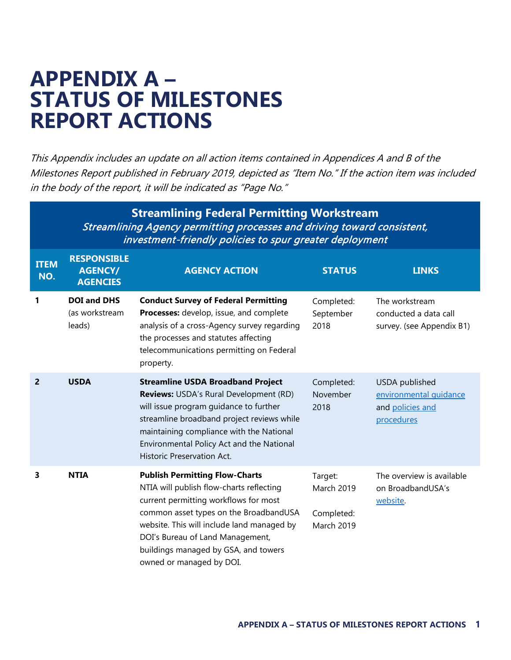## **APPENDIX A – STATUS OF MILESTONES REPORT ACTIONS**

This Appendix includes an update on all action items contained in Appendices A and B of the Milestones Report published in February 2019, depicted as "Item No." If the action item was included in the body of the report, it will be indicated as "Page No."

|                    | <b>Streamlining Federal Permitting Workstream</b><br>Streamlining Agency permitting processes and driving toward consistent,<br>investment-friendly policies to spur greater deployment |                                                                                                                                                                                                                                                                                                                            |                                                          |                                                                            |  |
|--------------------|-----------------------------------------------------------------------------------------------------------------------------------------------------------------------------------------|----------------------------------------------------------------------------------------------------------------------------------------------------------------------------------------------------------------------------------------------------------------------------------------------------------------------------|----------------------------------------------------------|----------------------------------------------------------------------------|--|
| <b>ITEM</b><br>NO. | <b>RESPONSIBLE</b><br><b>AGENCY/</b><br><b>AGENCIES</b>                                                                                                                                 | <b>AGENCY ACTION</b>                                                                                                                                                                                                                                                                                                       | <b>STATUS</b>                                            | <b>LINKS</b>                                                               |  |
| 1                  | <b>DOI and DHS</b><br>(as workstream<br>leads)                                                                                                                                          | <b>Conduct Survey of Federal Permitting</b><br>Processes: develop, issue, and complete<br>analysis of a cross-Agency survey regarding<br>the processes and statutes affecting<br>telecommunications permitting on Federal<br>property.                                                                                     | Completed:<br>September<br>2018                          | The workstream<br>conducted a data call<br>survey. (see Appendix B1)       |  |
| 2                  | <b>USDA</b>                                                                                                                                                                             | <b>Streamline USDA Broadband Project</b><br>Reviews: USDA's Rural Development (RD)<br>will issue program guidance to further<br>streamline broadband project reviews while<br>maintaining compliance with the National<br>Environmental Policy Act and the National<br><b>Historic Preservation Act.</b>                   | Completed:<br>November<br>2018                           | USDA published<br>environmental quidance<br>and policies and<br>procedures |  |
| 3                  | <b>NTIA</b>                                                                                                                                                                             | <b>Publish Permitting Flow-Charts</b><br>NTIA will publish flow-charts reflecting<br>current permitting workflows for most<br>common asset types on the BroadbandUSA<br>website. This will include land managed by<br>DOI's Bureau of Land Management,<br>buildings managed by GSA, and towers<br>owned or managed by DOI. | Target:<br>March 2019<br>Completed:<br><b>March 2019</b> | The overview is available<br>on BroadbandUSA's<br>website.                 |  |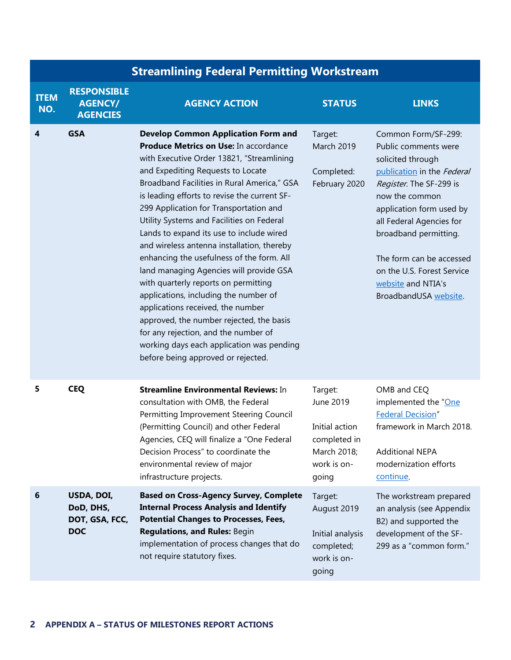|                    | <b>Streamlining Federal Permitting Workstream</b>       |                                                                                                                                                                                                                                                                                                                                                                                                                                                                                                                                                                                                                                                                                                                                                                                                                                            |                                                                                               |                                                                                                                                                                                                                                                                                                                                       |  |
|--------------------|---------------------------------------------------------|--------------------------------------------------------------------------------------------------------------------------------------------------------------------------------------------------------------------------------------------------------------------------------------------------------------------------------------------------------------------------------------------------------------------------------------------------------------------------------------------------------------------------------------------------------------------------------------------------------------------------------------------------------------------------------------------------------------------------------------------------------------------------------------------------------------------------------------------|-----------------------------------------------------------------------------------------------|---------------------------------------------------------------------------------------------------------------------------------------------------------------------------------------------------------------------------------------------------------------------------------------------------------------------------------------|--|
| <b>ITEM</b><br>NO. | <b>RESPONSIBLE</b><br><b>AGENCY/</b><br><b>AGENCIES</b> | <b>AGENCY ACTION</b>                                                                                                                                                                                                                                                                                                                                                                                                                                                                                                                                                                                                                                                                                                                                                                                                                       | <b>STATUS</b>                                                                                 | <b>LINKS</b>                                                                                                                                                                                                                                                                                                                          |  |
| 4                  | <b>GSA</b>                                              | <b>Develop Common Application Form and</b><br>Produce Metrics on Use: In accordance<br>with Executive Order 13821, "Streamlining<br>and Expediting Requests to Locate<br>Broadband Facilities in Rural America," GSA<br>is leading efforts to revise the current SF-<br>299 Application for Transportation and<br>Utility Systems and Facilities on Federal<br>Lands to expand its use to include wired<br>and wireless antenna installation, thereby<br>enhancing the usefulness of the form. All<br>land managing Agencies will provide GSA<br>with quarterly reports on permitting<br>applications, including the number of<br>applications received, the number<br>approved, the number rejected, the basis<br>for any rejection, and the number of<br>working days each application was pending<br>before being approved or rejected. | Target:<br><b>March 2019</b><br>Completed:<br>February 2020                                   | Common Form/SF-299:<br>Public comments were<br>solicited through<br>publication in the Federal<br>Register. The SF-299 is<br>now the common<br>application form used by<br>all Federal Agencies for<br>broadband permitting.<br>The form can be accessed<br>on the U.S. Forest Service<br>website and NTIA's<br>BroadbandUSA website. |  |
| 5                  | <b>CEQ</b>                                              | <b>Streamline Environmental Reviews: In</b><br>consultation with OMB, the Federal<br>Permitting Improvement Steering Council<br>(Permitting Council) and other Federal<br>Agencies, CEQ will finalize a "One Federal<br>Decision Process" to coordinate the<br>environmental review of major<br>infrastructure projects.                                                                                                                                                                                                                                                                                                                                                                                                                                                                                                                   | Target:<br>June 2019<br>Initial action<br>completed in<br>March 2018;<br>work is on-<br>going | OMB and CEQ<br>implemented the "One<br><b>Federal Decision"</b><br>framework in March 2018.<br><b>Additional NEPA</b><br>modernization efforts<br>continue.                                                                                                                                                                           |  |
| 6                  | USDA, DOI,<br>DoD, DHS,<br>DOT, GSA, FCC,<br><b>DOC</b> | <b>Based on Cross-Agency Survey, Complete</b><br><b>Internal Process Analysis and Identify</b><br><b>Potential Changes to Processes, Fees,</b><br><b>Regulations, and Rules: Begin</b><br>implementation of process changes that do<br>not require statutory fixes.                                                                                                                                                                                                                                                                                                                                                                                                                                                                                                                                                                        | Target:<br>August 2019<br>Initial analysis<br>completed;<br>work is on-<br>going              | The workstream prepared<br>an analysis (see Appendix<br>B2) and supported the<br>development of the SF-<br>299 as a "common form."                                                                                                                                                                                                    |  |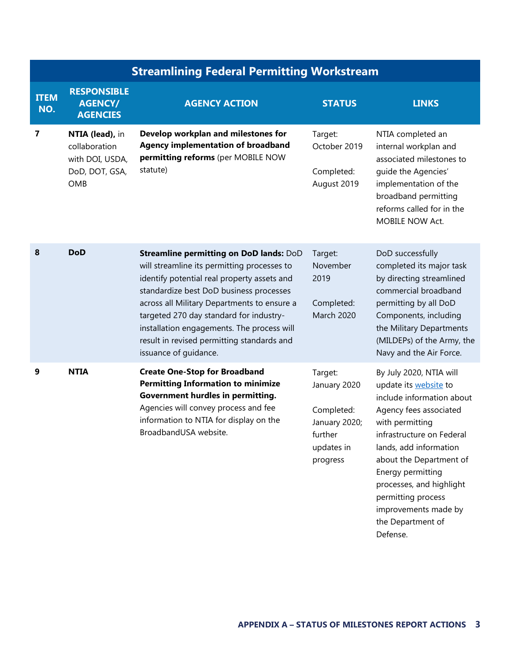|                    | <b>Streamlining Federal Permitting Workstream</b>                            |                                                                                                                                                                                                                                                                                                                                                                                                 |                                                                                             |                                                                                                                                                                                                                                                                                                                                  |  |
|--------------------|------------------------------------------------------------------------------|-------------------------------------------------------------------------------------------------------------------------------------------------------------------------------------------------------------------------------------------------------------------------------------------------------------------------------------------------------------------------------------------------|---------------------------------------------------------------------------------------------|----------------------------------------------------------------------------------------------------------------------------------------------------------------------------------------------------------------------------------------------------------------------------------------------------------------------------------|--|
| <b>ITEM</b><br>NO. | <b>RESPONSIBLE</b><br><b>AGENCY/</b><br><b>AGENCIES</b>                      | <b>AGENCY ACTION</b>                                                                                                                                                                                                                                                                                                                                                                            | <b>STATUS</b>                                                                               | <b>LINKS</b>                                                                                                                                                                                                                                                                                                                     |  |
| 7                  | NTIA (lead), in<br>collaboration<br>with DOI, USDA,<br>DoD, DOT, GSA,<br>OMB | Develop workplan and milestones for<br><b>Agency implementation of broadband</b><br>permitting reforms (per MOBILE NOW<br>statute)                                                                                                                                                                                                                                                              | Target:<br>October 2019<br>Completed:<br>August 2019                                        | NTIA completed an<br>internal workplan and<br>associated milestones to<br>quide the Agencies'<br>implementation of the<br>broadband permitting<br>reforms called for in the<br>MOBILE NOW Act.                                                                                                                                   |  |
| 8                  | <b>DoD</b>                                                                   | Streamline permitting on DoD lands: DoD<br>will streamline its permitting processes to<br>identify potential real property assets and<br>standardize best DoD business processes<br>across all Military Departments to ensure a<br>targeted 270 day standard for industry-<br>installation engagements. The process will<br>result in revised permitting standards and<br>issuance of guidance. | Target:<br>November<br>2019<br>Completed:<br><b>March 2020</b>                              | DoD successfully<br>completed its major task<br>by directing streamlined<br>commercial broadband<br>permitting by all DoD<br>Components, including<br>the Military Departments<br>(MILDEPs) of the Army, the<br>Navy and the Air Force.                                                                                          |  |
| 9                  | <b>NTIA</b>                                                                  | <b>Create One-Stop for Broadband</b><br><b>Permitting Information to minimize</b><br>Government hurdles in permitting.<br>Agencies will convey process and fee<br>information to NTIA for display on the<br>BroadbandUSA website.                                                                                                                                                               | Target:<br>January 2020<br>Completed:<br>January 2020;<br>further<br>updates in<br>progress | By July 2020, NTIA will<br>update its website to<br>include information about<br>Agency fees associated<br>with permitting<br>infrastructure on Federal<br>lands, add information<br>about the Department of<br>Energy permitting<br>processes, and highlight<br>permitting process<br>improvements made by<br>the Department of |  |

Defense.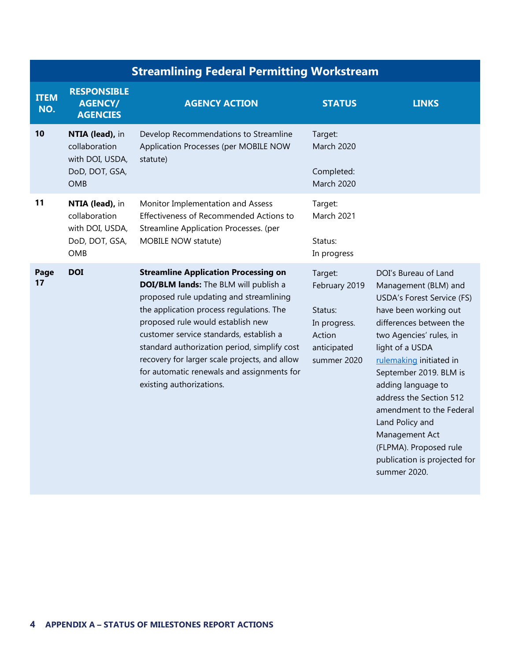|                    | <b>Streamlining Federal Permitting Workstream</b>                                   |                                                                                                                                                                                                                                                                                                                                                                                                                                        |                                                                                             |                                                                                                                                                                                                                                                                                                                                                                                                                                      |
|--------------------|-------------------------------------------------------------------------------------|----------------------------------------------------------------------------------------------------------------------------------------------------------------------------------------------------------------------------------------------------------------------------------------------------------------------------------------------------------------------------------------------------------------------------------------|---------------------------------------------------------------------------------------------|--------------------------------------------------------------------------------------------------------------------------------------------------------------------------------------------------------------------------------------------------------------------------------------------------------------------------------------------------------------------------------------------------------------------------------------|
| <b>ITEM</b><br>NO. | <b>RESPONSIBLE</b><br><b>AGENCY/</b><br><b>AGENCIES</b>                             | <b>AGENCY ACTION</b>                                                                                                                                                                                                                                                                                                                                                                                                                   | <b>STATUS</b>                                                                               | <b>LINKS</b>                                                                                                                                                                                                                                                                                                                                                                                                                         |
| 10                 | NTIA (lead), in<br>collaboration<br>with DOI, USDA,<br>DoD, DOT, GSA,<br><b>OMB</b> | Develop Recommendations to Streamline<br>Application Processes (per MOBILE NOW<br>statute)                                                                                                                                                                                                                                                                                                                                             | Target:<br><b>March 2020</b><br>Completed:<br><b>March 2020</b>                             |                                                                                                                                                                                                                                                                                                                                                                                                                                      |
| 11                 | NTIA (lead), in<br>collaboration<br>with DOI, USDA,<br>DoD, DOT, GSA,<br><b>OMB</b> | Monitor Implementation and Assess<br>Effectiveness of Recommended Actions to<br>Streamline Application Processes. (per<br>MOBILE NOW statute)                                                                                                                                                                                                                                                                                          | Target:<br>March 2021<br>Status:<br>In progress                                             |                                                                                                                                                                                                                                                                                                                                                                                                                                      |
| Page<br>17         | <b>DOI</b>                                                                          | <b>Streamline Application Processing on</b><br>DOI/BLM lands: The BLM will publish a<br>proposed rule updating and streamlining<br>the application process regulations. The<br>proposed rule would establish new<br>customer service standards, establish a<br>standard authorization period, simplify cost<br>recovery for larger scale projects, and allow<br>for automatic renewals and assignments for<br>existing authorizations. | Target:<br>February 2019<br>Status:<br>In progress.<br>Action<br>anticipated<br>summer 2020 | DOI's Bureau of Land<br>Management (BLM) and<br><b>USDA's Forest Service (FS)</b><br>have been working out<br>differences between the<br>two Agencies' rules, in<br>light of a USDA<br>rulemaking initiated in<br>September 2019. BLM is<br>adding language to<br>address the Section 512<br>amendment to the Federal<br>Land Policy and<br>Management Act<br>(FLPMA). Proposed rule<br>publication is projected for<br>summer 2020. |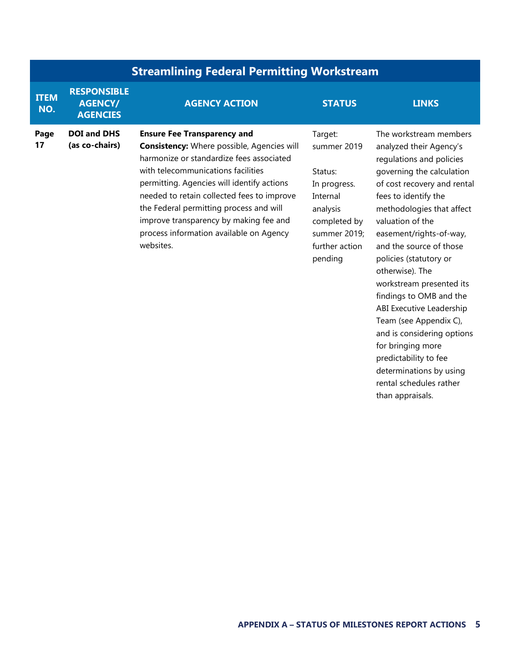|                    | <b>Streamlining Federal Permitting Workstream</b>       |                                                                                                                                                                                                                                                                                                                                                                                                                    |                                                                                                                                        |                                                                                                                                                                                                                                                                                                                                                                                                                                    |
|--------------------|---------------------------------------------------------|--------------------------------------------------------------------------------------------------------------------------------------------------------------------------------------------------------------------------------------------------------------------------------------------------------------------------------------------------------------------------------------------------------------------|----------------------------------------------------------------------------------------------------------------------------------------|------------------------------------------------------------------------------------------------------------------------------------------------------------------------------------------------------------------------------------------------------------------------------------------------------------------------------------------------------------------------------------------------------------------------------------|
| <b>ITEM</b><br>NO. | <b>RESPONSIBLE</b><br><b>AGENCY/</b><br><b>AGENCIES</b> | <b>AGENCY ACTION</b>                                                                                                                                                                                                                                                                                                                                                                                               | <b>STATUS</b>                                                                                                                          | <b>LINKS</b>                                                                                                                                                                                                                                                                                                                                                                                                                       |
| Page<br>17         | <b>DOI and DHS</b><br>(as co-chairs)                    | <b>Ensure Fee Transparency and</b><br><b>Consistency:</b> Where possible, Agencies will<br>harmonize or standardize fees associated<br>with telecommunications facilities<br>permitting. Agencies will identify actions<br>needed to retain collected fees to improve<br>the Federal permitting process and will<br>improve transparency by making fee and<br>process information available on Agency<br>websites. | Target:<br>summer 2019<br>Status:<br>In progress.<br>Internal<br>analysis<br>completed by<br>summer 2019;<br>further action<br>pending | The workstream members<br>analyzed their Agency's<br>regulations and policies<br>governing the calculation<br>of cost recovery and rental<br>fees to identify the<br>methodologies that affect<br>valuation of the<br>easement/rights-of-way,<br>and the source of those<br>policies (statutory or<br>otherwise). The<br>workstream presented its<br>findings to OMB and the<br>ABI Executive Leadership<br>Team (see Appendix C), |

and is considering options

for bringing more predictability to fee determinations by using rental schedules rather

than appraisals.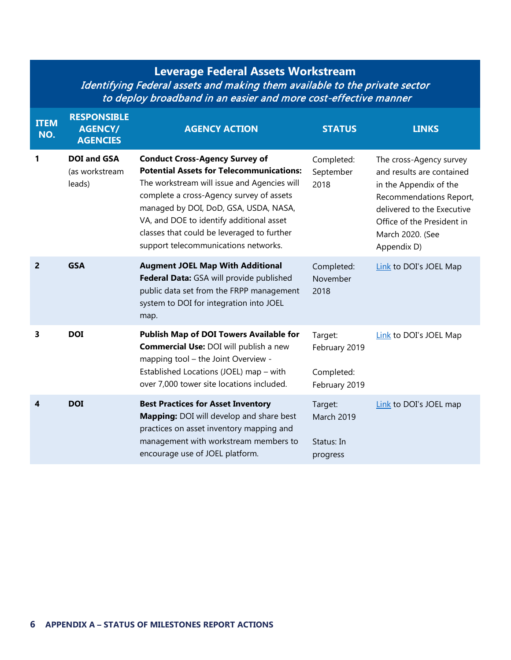## **Leverage Federal Assets Workstream** Identifying Federal assets and making them available to the private sector to deploy broadband in an easier and more cost-effective manner

| <b>ITEM</b><br>NO. | <b>RESPONSIBLE</b><br><b>AGENCY/</b><br><b>AGENCIES</b> | <b>AGENCY ACTION</b>                                                                                                                                                                                                                                                                                                                                           | <b>STATUS</b>                                           | <b>LINKS</b>                                                                                                                                                                                             |
|--------------------|---------------------------------------------------------|----------------------------------------------------------------------------------------------------------------------------------------------------------------------------------------------------------------------------------------------------------------------------------------------------------------------------------------------------------------|---------------------------------------------------------|----------------------------------------------------------------------------------------------------------------------------------------------------------------------------------------------------------|
| 1                  | <b>DOI and GSA</b><br>(as workstream<br>leads)          | <b>Conduct Cross-Agency Survey of</b><br><b>Potential Assets for Telecommunications:</b><br>The workstream will issue and Agencies will<br>complete a cross-Agency survey of assets<br>managed by DOI, DoD, GSA, USDA, NASA,<br>VA, and DOE to identify additional asset<br>classes that could be leveraged to further<br>support telecommunications networks. | Completed:<br>September<br>2018                         | The cross-Agency survey<br>and results are contained<br>in the Appendix of the<br>Recommendations Report,<br>delivered to the Executive<br>Office of the President in<br>March 2020. (See<br>Appendix D) |
| $\overline{2}$     | <b>GSA</b>                                              | <b>Augment JOEL Map With Additional</b><br>Federal Data: GSA will provide published<br>public data set from the FRPP management<br>system to DOI for integration into JOEL<br>map.                                                                                                                                                                             | Completed:<br>November<br>2018                          | Link to DOI's JOEL Map                                                                                                                                                                                   |
| 3                  | <b>DOI</b>                                              | Publish Map of DOI Towers Available for<br><b>Commercial Use: DOI will publish a new</b><br>mapping tool - the Joint Overview -<br>Established Locations (JOEL) map - with<br>over 7,000 tower site locations included.                                                                                                                                        | Target:<br>February 2019<br>Completed:<br>February 2019 | Link to DOI's JOEL Map                                                                                                                                                                                   |
| $\boldsymbol{4}$   | <b>DOI</b>                                              | <b>Best Practices for Asset Inventory</b><br>Mapping: DOI will develop and share best<br>practices on asset inventory mapping and<br>management with workstream members to<br>encourage use of JOEL platform.                                                                                                                                                  | Target:<br><b>March 2019</b><br>Status: In<br>progress  | Link to DOI's JOEL map                                                                                                                                                                                   |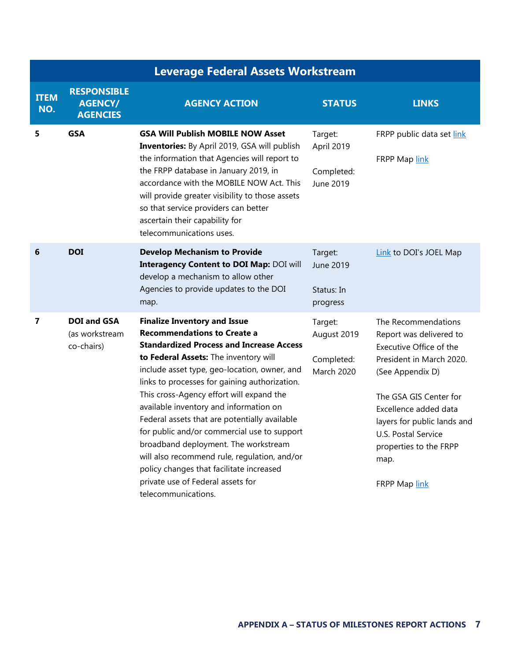|                         | <b>Leverage Federal Assets Workstream</b>               |                                                                                                                                                                                                                                                                                                                                                                                                                                                                                                                                                                                                                                                              |                                                           |                                                                                                                                                                                                                                                                                       |  |
|-------------------------|---------------------------------------------------------|--------------------------------------------------------------------------------------------------------------------------------------------------------------------------------------------------------------------------------------------------------------------------------------------------------------------------------------------------------------------------------------------------------------------------------------------------------------------------------------------------------------------------------------------------------------------------------------------------------------------------------------------------------------|-----------------------------------------------------------|---------------------------------------------------------------------------------------------------------------------------------------------------------------------------------------------------------------------------------------------------------------------------------------|--|
| <b>ITEM</b><br>NO.      | <b>RESPONSIBLE</b><br><b>AGENCY/</b><br><b>AGENCIES</b> | <b>AGENCY ACTION</b>                                                                                                                                                                                                                                                                                                                                                                                                                                                                                                                                                                                                                                         | <b>STATUS</b>                                             | <b>LINKS</b>                                                                                                                                                                                                                                                                          |  |
| 5                       | <b>GSA</b>                                              | <b>GSA Will Publish MOBILE NOW Asset</b><br><b>Inventories:</b> By April 2019, GSA will publish<br>the information that Agencies will report to<br>the FRPP database in January 2019, in<br>accordance with the MOBILE NOW Act. This<br>will provide greater visibility to those assets<br>so that service providers can better<br>ascertain their capability for<br>telecommunications uses.                                                                                                                                                                                                                                                                | Target:<br>April 2019<br>Completed:<br>June 2019          | FRPP public data set link<br>FRPP Map link                                                                                                                                                                                                                                            |  |
| 6                       | <b>DOI</b>                                              | <b>Develop Mechanism to Provide</b><br><b>Interagency Content to DOI Map: DOI will</b><br>develop a mechanism to allow other<br>Agencies to provide updates to the DOI<br>map.                                                                                                                                                                                                                                                                                                                                                                                                                                                                               | Target:<br>June 2019<br>Status: In<br>progress            | Link to DOI's JOEL Map                                                                                                                                                                                                                                                                |  |
| $\overline{\mathbf{z}}$ | <b>DOI and GSA</b><br>(as workstream<br>co-chairs)      | <b>Finalize Inventory and Issue</b><br><b>Recommendations to Create a</b><br><b>Standardized Process and Increase Access</b><br>to Federal Assets: The inventory will<br>include asset type, geo-location, owner, and<br>links to processes for gaining authorization.<br>This cross-Agency effort will expand the<br>available inventory and information on<br>Federal assets that are potentially available<br>for public and/or commercial use to support<br>broadband deployment. The workstream<br>will also recommend rule, regulation, and/or<br>policy changes that facilitate increased<br>private use of Federal assets for<br>telecommunications. | Target:<br>August 2019<br>Completed:<br><b>March 2020</b> | The Recommendations<br>Report was delivered to<br>Executive Office of the<br>President in March 2020.<br>(See Appendix D)<br>The GSA GIS Center for<br>Excellence added data<br>layers for public lands and<br>U.S. Postal Service<br>properties to the FRPP<br>map.<br>FRPP Map link |  |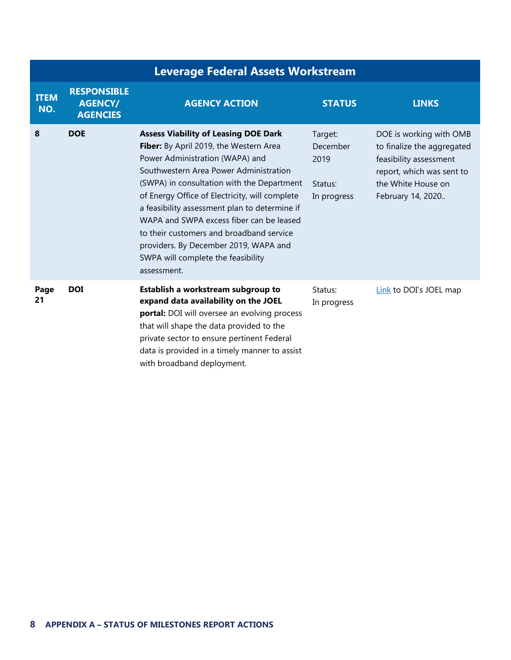| <b>Leverage Federal Assets Workstream</b> |                                                         |                                                                                                                                                                                                                                                                                                                                                                                                                                                                                                           |                                                       |                                                                                                                                                         |  |
|-------------------------------------------|---------------------------------------------------------|-----------------------------------------------------------------------------------------------------------------------------------------------------------------------------------------------------------------------------------------------------------------------------------------------------------------------------------------------------------------------------------------------------------------------------------------------------------------------------------------------------------|-------------------------------------------------------|---------------------------------------------------------------------------------------------------------------------------------------------------------|--|
| <b>ITEM</b><br>NO.                        | <b>RESPONSIBLE</b><br><b>AGENCY/</b><br><b>AGENCIES</b> | <b>AGENCY ACTION</b>                                                                                                                                                                                                                                                                                                                                                                                                                                                                                      | <b>STATUS</b>                                         | <b>LINKS</b>                                                                                                                                            |  |
| 8                                         | <b>DOE</b>                                              | <b>Assess Viability of Leasing DOE Dark</b><br>Fiber: By April 2019, the Western Area<br>Power Administration (WAPA) and<br>Southwestern Area Power Administration<br>(SWPA) in consultation with the Department<br>of Energy Office of Electricity, will complete<br>a feasibility assessment plan to determine if<br>WAPA and SWPA excess fiber can be leased<br>to their customers and broadband service<br>providers. By December 2019, WAPA and<br>SWPA will complete the feasibility<br>assessment. | Target:<br>December<br>2019<br>Status:<br>In progress | DOE is working with OMB<br>to finalize the aggregated<br>feasibility assessment<br>report, which was sent to<br>the White House on<br>February 14, 2020 |  |
| Page<br>21                                | <b>DOI</b>                                              | Establish a workstream subgroup to<br>expand data availability on the JOEL<br>portal: DOI will oversee an evolving process<br>that will shape the data provided to the<br>private sector to ensure pertinent Federal<br>data is provided in a timely manner to assist<br>with broadband deployment.                                                                                                                                                                                                       | Status:<br>In progress                                | Link to DOI's JOEL map                                                                                                                                  |  |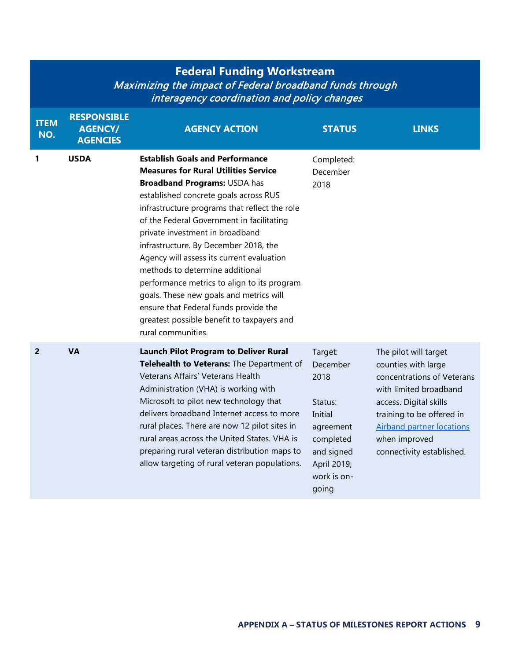## **Federal Funding Workstream** Maximizing the impact of Federal broadband funds through interagency coordination and policy changes

| <b>ITEM</b><br>NO. | <b>RESPONSIBLE</b><br><b>AGENCY/</b><br><b>AGENCIES</b> | <b>AGENCY ACTION</b>                                                                                                                                                                                                                                                                                                                                                                                                                                                                                                                                                                                                                   | <b>STATUS</b>                                                                                                                    | <b>LINKS</b>                                                                                                                                                                                                                                  |
|--------------------|---------------------------------------------------------|----------------------------------------------------------------------------------------------------------------------------------------------------------------------------------------------------------------------------------------------------------------------------------------------------------------------------------------------------------------------------------------------------------------------------------------------------------------------------------------------------------------------------------------------------------------------------------------------------------------------------------------|----------------------------------------------------------------------------------------------------------------------------------|-----------------------------------------------------------------------------------------------------------------------------------------------------------------------------------------------------------------------------------------------|
| 1                  | <b>USDA</b>                                             | <b>Establish Goals and Performance</b><br><b>Measures for Rural Utilities Service</b><br><b>Broadband Programs: USDA has</b><br>established concrete goals across RUS<br>infrastructure programs that reflect the role<br>of the Federal Government in facilitating<br>private investment in broadband<br>infrastructure. By December 2018, the<br>Agency will assess its current evaluation<br>methods to determine additional<br>performance metrics to align to its program<br>goals. These new goals and metrics will<br>ensure that Federal funds provide the<br>greatest possible benefit to taxpayers and<br>rural communities. | Completed:<br>December<br>2018                                                                                                   |                                                                                                                                                                                                                                               |
| 2                  | <b>VA</b>                                               | <b>Launch Pilot Program to Deliver Rural</b><br>Telehealth to Veterans: The Department of<br>Veterans Affairs' Veterans Health<br>Administration (VHA) is working with<br>Microsoft to pilot new technology that<br>delivers broadband Internet access to more<br>rural places. There are now 12 pilot sites in<br>rural areas across the United States. VHA is<br>preparing rural veteran distribution maps to<br>allow targeting of rural veteran populations.                                                                                                                                                                       | Target:<br>December<br>2018<br>Status:<br>Initial<br>agreement<br>completed<br>and signed<br>April 2019;<br>work is on-<br>going | The pilot will target<br>counties with large<br>concentrations of Veterans<br>with limited broadband<br>access. Digital skills<br>training to be offered in<br><b>Airband partner locations</b><br>when improved<br>connectivity established. |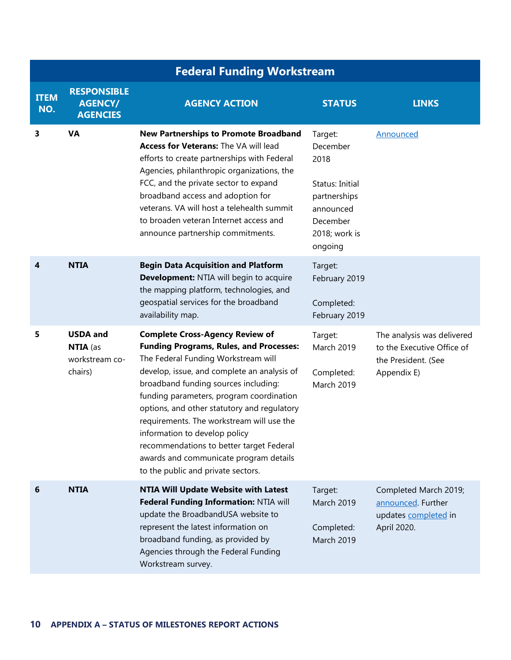|                    | <b>Federal Funding Workstream</b>                        |                                                                                                                                                                                                                                                                                                                                                                                                                                                                                                                             |                                                                                                                     |                                                                                                |  |
|--------------------|----------------------------------------------------------|-----------------------------------------------------------------------------------------------------------------------------------------------------------------------------------------------------------------------------------------------------------------------------------------------------------------------------------------------------------------------------------------------------------------------------------------------------------------------------------------------------------------------------|---------------------------------------------------------------------------------------------------------------------|------------------------------------------------------------------------------------------------|--|
| <b>ITEM</b><br>NO. | <b>RESPONSIBLE</b><br><b>AGENCY/</b><br><b>AGENCIES</b>  | <b>AGENCY ACTION</b>                                                                                                                                                                                                                                                                                                                                                                                                                                                                                                        | <b>STATUS</b>                                                                                                       | <b>LINKS</b>                                                                                   |  |
| 3                  | <b>VA</b>                                                | <b>New Partnerships to Promote Broadband</b><br>Access for Veterans: The VA will lead<br>efforts to create partnerships with Federal<br>Agencies, philanthropic organizations, the<br>FCC, and the private sector to expand<br>broadband access and adoption for<br>veterans. VA will host a telehealth summit<br>to broaden veteran Internet access and<br>announce partnership commitments.                                                                                                                               | Target:<br>December<br>2018<br>Status: Initial<br>partnerships<br>announced<br>December<br>2018; work is<br>ongoing | Announced                                                                                      |  |
| 4                  | <b>NTIA</b>                                              | <b>Begin Data Acquisition and Platform</b><br>Development: NTIA will begin to acquire<br>the mapping platform, technologies, and<br>geospatial services for the broadband<br>availability map.                                                                                                                                                                                                                                                                                                                              | Target:<br>February 2019<br>Completed:<br>February 2019                                                             |                                                                                                |  |
| 5                  | <b>USDA</b> and<br>NTIA (as<br>workstream co-<br>chairs) | <b>Complete Cross-Agency Review of</b><br><b>Funding Programs, Rules, and Processes:</b><br>The Federal Funding Workstream will<br>develop, issue, and complete an analysis of<br>broadband funding sources including:<br>funding parameters, program coordination<br>options, and other statutory and regulatory<br>requirements. The workstream will use the<br>information to develop policy<br>recommendations to better target Federal<br>awards and communicate program details<br>to the public and private sectors. | Target:<br><b>March 2019</b><br>Completed:<br><b>March 2019</b>                                                     | The analysis was delivered<br>to the Executive Office of<br>the President. (See<br>Appendix E) |  |
| 6                  | <b>NTIA</b>                                              | <b>NTIA Will Update Website with Latest</b><br>Federal Funding Information: NTIA will<br>update the BroadbandUSA website to<br>represent the latest information on<br>broadband funding, as provided by<br>Agencies through the Federal Funding<br>Workstream survey.                                                                                                                                                                                                                                                       | Target:<br>March 2019<br>Completed:<br>March 2019                                                                   | Completed March 2019;<br>announced. Further<br>updates completed in<br>April 2020.             |  |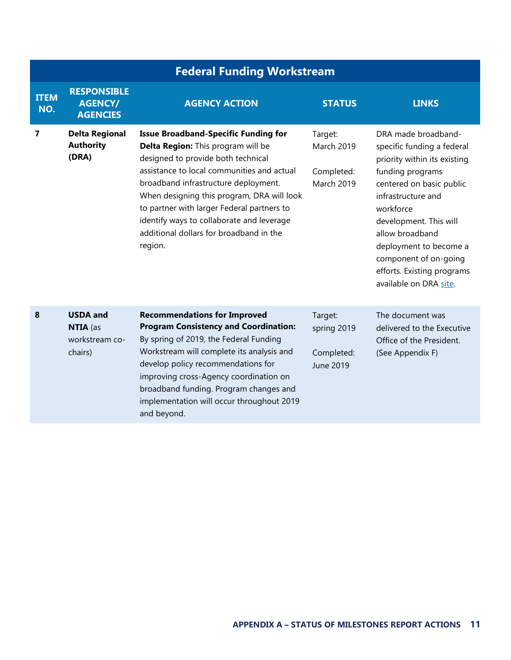|                         | <b>Federal Funding Workstream</b>                        |                                                                                                                                                                                                                                                                                                                                                                                                              |                                                                 |                                                                                                                                                                                                                                                                                                                              |  |
|-------------------------|----------------------------------------------------------|--------------------------------------------------------------------------------------------------------------------------------------------------------------------------------------------------------------------------------------------------------------------------------------------------------------------------------------------------------------------------------------------------------------|-----------------------------------------------------------------|------------------------------------------------------------------------------------------------------------------------------------------------------------------------------------------------------------------------------------------------------------------------------------------------------------------------------|--|
| <b>ITEM</b><br>NO.      | <b>RESPONSIBLE</b><br><b>AGENCY/</b><br><b>AGENCIES</b>  | <b>AGENCY ACTION</b>                                                                                                                                                                                                                                                                                                                                                                                         | <b>STATUS</b>                                                   | <b>LINKS</b>                                                                                                                                                                                                                                                                                                                 |  |
| $\overline{\mathbf{z}}$ | <b>Delta Regional</b><br><b>Authority</b><br>(DRA)       | <b>Issue Broadband-Specific Funding for</b><br>Delta Region: This program will be<br>designed to provide both technical<br>assistance to local communities and actual<br>broadband infrastructure deployment.<br>When designing this program, DRA will look<br>to partner with larger Federal partners to<br>identify ways to collaborate and leverage<br>additional dollars for broadband in the<br>region. | Target:<br><b>March 2019</b><br>Completed:<br><b>March 2019</b> | DRA made broadband-<br>specific funding a federal<br>priority within its existing<br>funding programs<br>centered on basic public<br>infrastructure and<br>workforce<br>development. This will<br>allow broadband<br>deployment to become a<br>component of on-going<br>efforts. Existing programs<br>available on DRA site. |  |
| 8                       | <b>USDA and</b><br>NTIA (as<br>workstream co-<br>chairs) | <b>Recommendations for Improved</b><br><b>Program Consistency and Coordination:</b><br>By spring of 2019, the Federal Funding<br>Workstream will complete its analysis and<br>develop policy recommendations for<br>improving cross-Agency coordination on<br>broadband funding. Program changes and<br>implementation will occur throughout 2019<br>and beyond.                                             | Target:<br>spring 2019<br>Completed:<br>June 2019               | The document was<br>delivered to the Executive<br>Office of the President.<br>(See Appendix F)                                                                                                                                                                                                                               |  |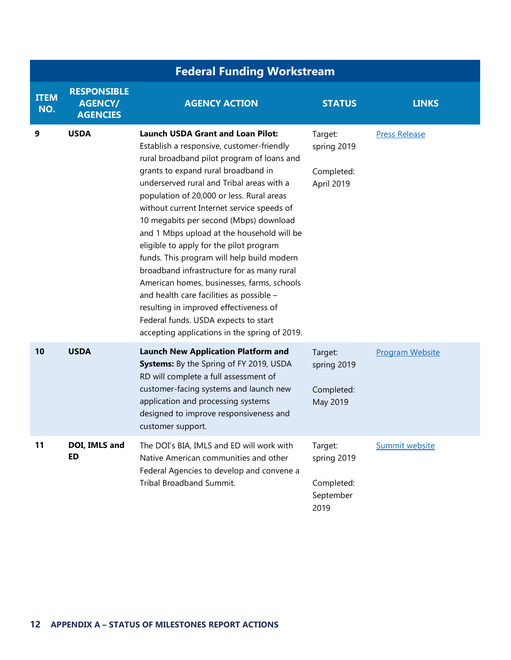|                    | <b>Federal Funding Workstream</b>                       |                                                                                                                                                                                                                                                                                                                                                                                                                                                                                                                                                                                                                                                                                                                                                                                |                                                           |                        |  |  |
|--------------------|---------------------------------------------------------|--------------------------------------------------------------------------------------------------------------------------------------------------------------------------------------------------------------------------------------------------------------------------------------------------------------------------------------------------------------------------------------------------------------------------------------------------------------------------------------------------------------------------------------------------------------------------------------------------------------------------------------------------------------------------------------------------------------------------------------------------------------------------------|-----------------------------------------------------------|------------------------|--|--|
| <b>ITEM</b><br>NO. | <b>RESPONSIBLE</b><br><b>AGENCY/</b><br><b>AGENCIES</b> | <b>AGENCY ACTION</b>                                                                                                                                                                                                                                                                                                                                                                                                                                                                                                                                                                                                                                                                                                                                                           | <b>STATUS</b>                                             | <b>LINKS</b>           |  |  |
| 9                  | <b>USDA</b>                                             | <b>Launch USDA Grant and Loan Pilot:</b><br>Establish a responsive, customer-friendly<br>rural broadband pilot program of loans and<br>grants to expand rural broadband in<br>underserved rural and Tribal areas with a<br>population of 20,000 or less. Rural areas<br>without current Internet service speeds of<br>10 megabits per second (Mbps) download<br>and 1 Mbps upload at the household will be<br>eligible to apply for the pilot program<br>funds. This program will help build modern<br>broadband infrastructure for as many rural<br>American homes, businesses, farms, schools<br>and health care facilities as possible -<br>resulting in improved effectiveness of<br>Federal funds. USDA expects to start<br>accepting applications in the spring of 2019. | Target:<br>spring 2019<br>Completed:<br>April 2019        | <b>Press Release</b>   |  |  |
| 10                 | <b>USDA</b>                                             | <b>Launch New Application Platform and</b><br><b>Systems:</b> By the Spring of FY 2019, USDA<br>RD will complete a full assessment of<br>customer-facing systems and launch new<br>application and processing systems<br>designed to improve responsiveness and<br>customer support.                                                                                                                                                                                                                                                                                                                                                                                                                                                                                           | Target:<br>spring 2019<br>Completed:<br>May 2019          | <b>Program Website</b> |  |  |
| 11                 | DOI, IMLS and<br><b>ED</b>                              | The DOI's BIA, IMLS and ED will work with<br>Native American communities and other<br>Federal Agencies to develop and convene a<br>Tribal Broadband Summit.                                                                                                                                                                                                                                                                                                                                                                                                                                                                                                                                                                                                                    | Target:<br>spring 2019<br>Completed:<br>September<br>2019 | Summit website         |  |  |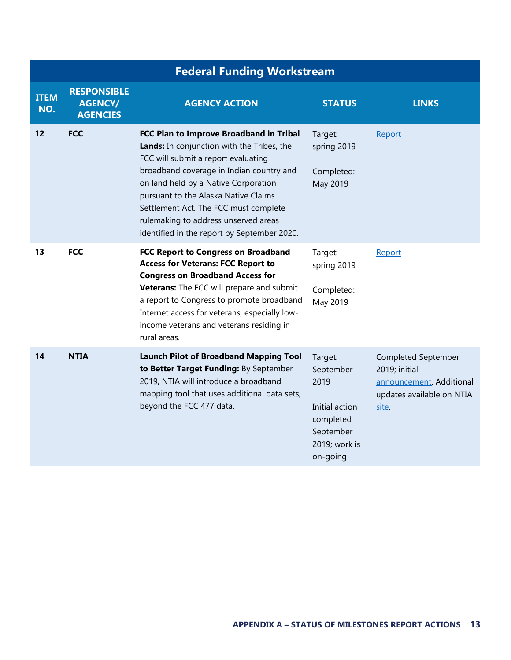|                    | <b>Federal Funding Workstream</b>                       |                                                                                                                                                                                                                                                                                                                                                                                          |                                                                                                       |                                                                                                        |
|--------------------|---------------------------------------------------------|------------------------------------------------------------------------------------------------------------------------------------------------------------------------------------------------------------------------------------------------------------------------------------------------------------------------------------------------------------------------------------------|-------------------------------------------------------------------------------------------------------|--------------------------------------------------------------------------------------------------------|
| <b>ITEM</b><br>NO. | <b>RESPONSIBLE</b><br><b>AGENCY/</b><br><b>AGENCIES</b> | <b>AGENCY ACTION</b>                                                                                                                                                                                                                                                                                                                                                                     | <b>STATUS</b>                                                                                         | <b>LINKS</b>                                                                                           |
| 12                 | <b>FCC</b>                                              | FCC Plan to Improve Broadband in Tribal<br>Lands: In conjunction with the Tribes, the<br>FCC will submit a report evaluating<br>broadband coverage in Indian country and<br>on land held by a Native Corporation<br>pursuant to the Alaska Native Claims<br>Settlement Act. The FCC must complete<br>rulemaking to address unserved areas<br>identified in the report by September 2020. | Target:<br>spring 2019<br>Completed:<br>May 2019                                                      | Report                                                                                                 |
| 13                 | <b>FCC</b>                                              | FCC Report to Congress on Broadband<br><b>Access for Veterans: FCC Report to</b><br><b>Congress on Broadband Access for</b><br>Veterans: The FCC will prepare and submit<br>a report to Congress to promote broadband<br>Internet access for veterans, especially low-<br>income veterans and veterans residing in<br>rural areas.                                                       | Target:<br>spring 2019<br>Completed:<br>May 2019                                                      | Report                                                                                                 |
| 14                 | <b>NTIA</b>                                             | <b>Launch Pilot of Broadband Mapping Tool</b><br>to Better Target Funding: By September<br>2019, NTIA will introduce a broadband<br>mapping tool that uses additional data sets,<br>beyond the FCC 477 data.                                                                                                                                                                             | Target:<br>September<br>2019<br>Initial action<br>completed<br>September<br>2019; work is<br>on-going | Completed September<br>2019; initial<br>announcement. Additional<br>updates available on NTIA<br>site. |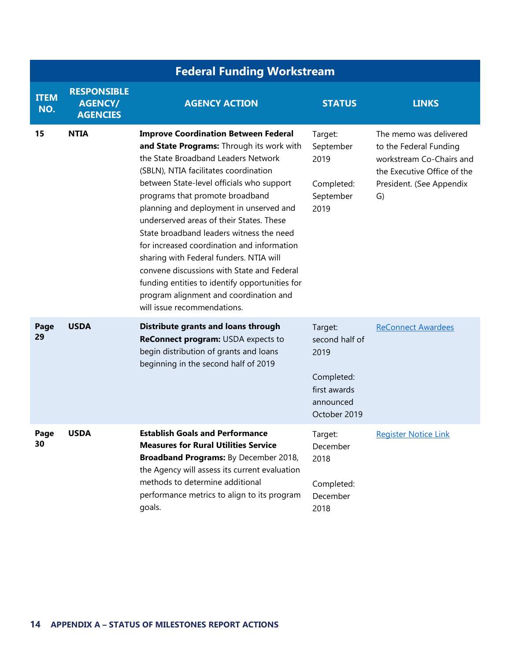|                    | <b>Federal Funding Workstream</b>                       |                                                                                                                                                                                                                                                                                                                                                                                                                                                                                                                                                                                                                                                               |                                                                                              |                                                                                                                                               |  |
|--------------------|---------------------------------------------------------|---------------------------------------------------------------------------------------------------------------------------------------------------------------------------------------------------------------------------------------------------------------------------------------------------------------------------------------------------------------------------------------------------------------------------------------------------------------------------------------------------------------------------------------------------------------------------------------------------------------------------------------------------------------|----------------------------------------------------------------------------------------------|-----------------------------------------------------------------------------------------------------------------------------------------------|--|
| <b>ITEM</b><br>NO. | <b>RESPONSIBLE</b><br><b>AGENCY/</b><br><b>AGENCIES</b> | <b>AGENCY ACTION</b>                                                                                                                                                                                                                                                                                                                                                                                                                                                                                                                                                                                                                                          | <b>STATUS</b>                                                                                | <b>LINKS</b>                                                                                                                                  |  |
| 15                 | <b>NTIA</b>                                             | <b>Improve Coordination Between Federal</b><br>and State Programs: Through its work with<br>the State Broadband Leaders Network<br>(SBLN), NTIA facilitates coordination<br>between State-level officials who support<br>programs that promote broadband<br>planning and deployment in unserved and<br>underserved areas of their States. These<br>State broadband leaders witness the need<br>for increased coordination and information<br>sharing with Federal funders. NTIA will<br>convene discussions with State and Federal<br>funding entities to identify opportunities for<br>program alignment and coordination and<br>will issue recommendations. | Target:<br>September<br>2019<br>Completed:<br>September<br>2019                              | The memo was delivered<br>to the Federal Funding<br>workstream Co-Chairs and<br>the Executive Office of the<br>President. (See Appendix<br>G) |  |
| Page<br>29         | <b>USDA</b>                                             | Distribute grants and loans through<br>ReConnect program: USDA expects to<br>begin distribution of grants and loans<br>beginning in the second half of 2019                                                                                                                                                                                                                                                                                                                                                                                                                                                                                                   | Target:<br>second half of<br>2019<br>Completed:<br>first awards<br>announced<br>October 2019 | <b>ReConnect Awardees</b>                                                                                                                     |  |
| Page<br>30         | <b>USDA</b>                                             | <b>Establish Goals and Performance</b><br><b>Measures for Rural Utilities Service</b><br>Broadband Programs: By December 2018,<br>the Agency will assess its current evaluation<br>methods to determine additional<br>performance metrics to align to its program<br>goals.                                                                                                                                                                                                                                                                                                                                                                                   | Target:<br>December<br>2018<br>Completed:<br>December<br>2018                                | <b>Register Notice Link</b>                                                                                                                   |  |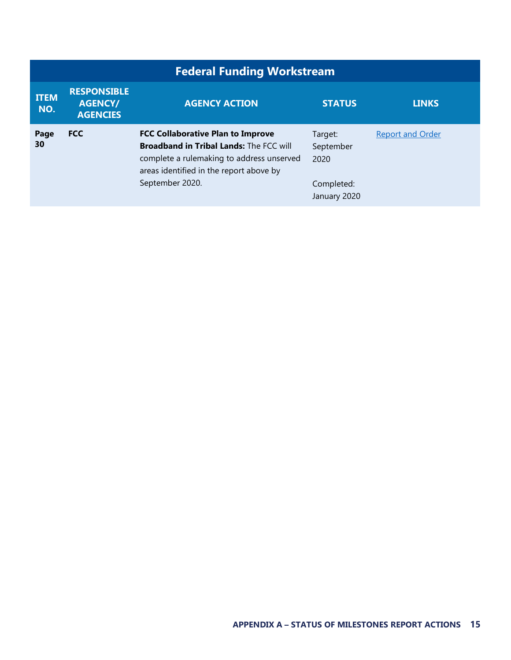| <b>Federal Funding Workstream</b> |                                                         |                                                                                                                                                                                                       |                                                            |                         |
|-----------------------------------|---------------------------------------------------------|-------------------------------------------------------------------------------------------------------------------------------------------------------------------------------------------------------|------------------------------------------------------------|-------------------------|
| <b>ITEM</b><br>NO.                | <b>RESPONSIBLE</b><br><b>AGENCY/</b><br><b>AGENCIES</b> | <b>AGENCY ACTION</b>                                                                                                                                                                                  | <b>STATUS</b>                                              | <b>LINKS</b>            |
| Page<br>30                        | <b>FCC</b>                                              | <b>FCC Collaborative Plan to Improve</b><br><b>Broadband in Tribal Lands: The FCC will</b><br>complete a rulemaking to address unserved<br>areas identified in the report above by<br>September 2020. | Target:<br>September<br>2020<br>Completed:<br>January 2020 | <b>Report and Order</b> |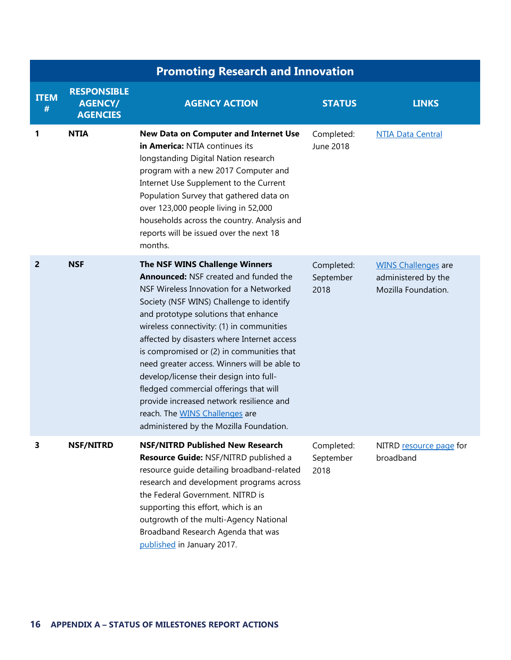|                  | <b>Promoting Research and Innovation</b>                |                                                                                                                                                                                                                                                                                                                                                                                                                                                                                                                                                                                                                      |                                 |                                                                          |
|------------------|---------------------------------------------------------|----------------------------------------------------------------------------------------------------------------------------------------------------------------------------------------------------------------------------------------------------------------------------------------------------------------------------------------------------------------------------------------------------------------------------------------------------------------------------------------------------------------------------------------------------------------------------------------------------------------------|---------------------------------|--------------------------------------------------------------------------|
| <b>ITEM</b><br># | <b>RESPONSIBLE</b><br><b>AGENCY/</b><br><b>AGENCIES</b> | <b>AGENCY ACTION</b>                                                                                                                                                                                                                                                                                                                                                                                                                                                                                                                                                                                                 | <b>STATUS</b>                   | <b>LINKS</b>                                                             |
| 1                | <b>NTIA</b>                                             | New Data on Computer and Internet Use<br>in America: NTIA continues its<br>longstanding Digital Nation research<br>program with a new 2017 Computer and<br>Internet Use Supplement to the Current<br>Population Survey that gathered data on<br>over 123,000 people living in 52,000<br>households across the country. Analysis and<br>reports will be issued over the next 18<br>months.                                                                                                                                                                                                                            | Completed:<br>June 2018         | <b>NTIA Data Central</b>                                                 |
| $\overline{2}$   | <b>NSF</b>                                              | The NSF WINS Challenge Winners<br><b>Announced: NSF created and funded the</b><br>NSF Wireless Innovation for a Networked<br>Society (NSF WINS) Challenge to identify<br>and prototype solutions that enhance<br>wireless connectivity: (1) in communities<br>affected by disasters where Internet access<br>is compromised or (2) in communities that<br>need greater access. Winners will be able to<br>develop/license their design into full-<br>fledged commercial offerings that will<br>provide increased network resilience and<br>reach. The WINS Challenges are<br>administered by the Mozilla Foundation. | Completed:<br>September<br>2018 | <b>WINS Challenges are</b><br>administered by the<br>Mozilla Foundation. |
| 3                | <b>NSF/NITRD</b>                                        | <b>NSF/NITRD Published New Research</b><br>Resource Guide: NSF/NITRD published a<br>resource guide detailing broadband-related<br>research and development programs across<br>the Federal Government. NITRD is<br>supporting this effort, which is an<br>outgrowth of the multi-Agency National<br>Broadband Research Agenda that was<br>published in January 2017.                                                                                                                                                                                                                                                  | Completed:<br>September<br>2018 | NITRD resource page for<br>broadband                                     |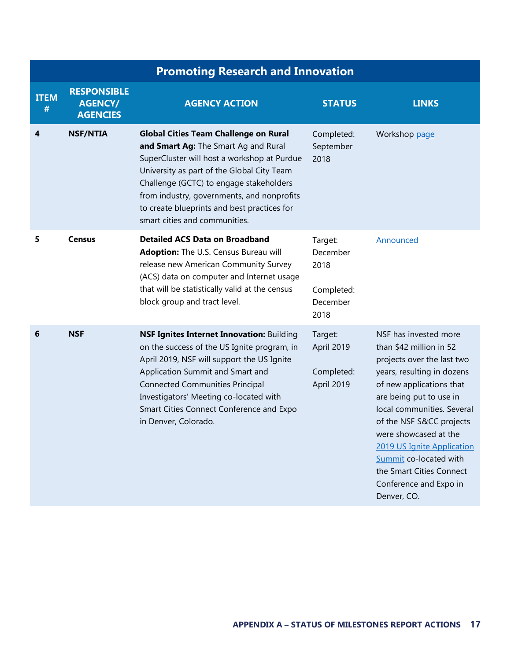|                  |                                                         | <b>Promoting Research and Innovation</b>                                                                                                                                                                                                                                                                                                                   |                                                               |                                                                                                                                                                                                                                                                                                                                                                                     |
|------------------|---------------------------------------------------------|------------------------------------------------------------------------------------------------------------------------------------------------------------------------------------------------------------------------------------------------------------------------------------------------------------------------------------------------------------|---------------------------------------------------------------|-------------------------------------------------------------------------------------------------------------------------------------------------------------------------------------------------------------------------------------------------------------------------------------------------------------------------------------------------------------------------------------|
| <b>ITEM</b><br># | <b>RESPONSIBLE</b><br><b>AGENCY/</b><br><b>AGENCIES</b> | <b>AGENCY ACTION</b>                                                                                                                                                                                                                                                                                                                                       | <b>STATUS</b>                                                 | <b>LINKS</b>                                                                                                                                                                                                                                                                                                                                                                        |
| 4                | <b>NSF/NTIA</b>                                         | <b>Global Cities Team Challenge on Rural</b><br>and Smart Ag: The Smart Ag and Rural<br>SuperCluster will host a workshop at Purdue<br>University as part of the Global City Team<br>Challenge (GCTC) to engage stakeholders<br>from industry, governments, and nonprofits<br>to create blueprints and best practices for<br>smart cities and communities. | Completed:<br>September<br>2018                               | Workshop page                                                                                                                                                                                                                                                                                                                                                                       |
| 5                | <b>Census</b>                                           | <b>Detailed ACS Data on Broadband</b><br>Adoption: The U.S. Census Bureau will<br>release new American Community Survey<br>(ACS) data on computer and Internet usage<br>that will be statistically valid at the census<br>block group and tract level.                                                                                                     | Target:<br>December<br>2018<br>Completed:<br>December<br>2018 | Announced                                                                                                                                                                                                                                                                                                                                                                           |
| 6                | <b>NSF</b>                                              | NSF Ignites Internet Innovation: Building<br>on the success of the US Ignite program, in<br>April 2019, NSF will support the US Ignite<br>Application Summit and Smart and<br><b>Connected Communities Principal</b><br>Investigators' Meeting co-located with<br>Smart Cities Connect Conference and Expo<br>in Denver, Colorado.                         | Target:<br>April 2019<br>Completed:<br>April 2019             | NSF has invested more<br>than \$42 million in 52<br>projects over the last two<br>years, resulting in dozens<br>of new applications that<br>are being put to use in<br>local communities. Several<br>of the NSF S&CC projects<br>were showcased at the<br>2019 US Ignite Application<br>Summit co-located with<br>the Smart Cities Connect<br>Conference and Expo in<br>Denver, CO. |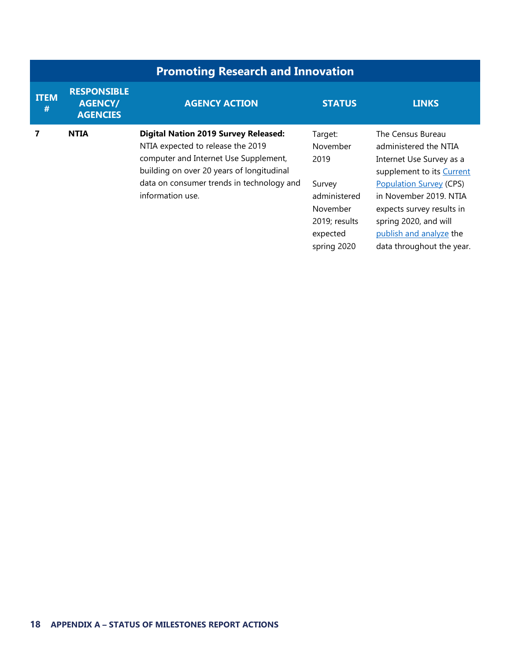| <b>Promoting Research and Innovation</b> |                                                         |                                                                                                                                                                                                                                         |                                                                                                               |                                                                                                                                                                                                                                                                               |
|------------------------------------------|---------------------------------------------------------|-----------------------------------------------------------------------------------------------------------------------------------------------------------------------------------------------------------------------------------------|---------------------------------------------------------------------------------------------------------------|-------------------------------------------------------------------------------------------------------------------------------------------------------------------------------------------------------------------------------------------------------------------------------|
| <b>ITEM</b><br>#                         | <b>RESPONSIBLE</b><br><b>AGENCY/</b><br><b>AGENCIES</b> | <b>AGENCY ACTION</b>                                                                                                                                                                                                                    | <b>STATUS</b>                                                                                                 | <b>LINKS</b>                                                                                                                                                                                                                                                                  |
| 7                                        | <b>NTIA</b>                                             | <b>Digital Nation 2019 Survey Released:</b><br>NTIA expected to release the 2019<br>computer and Internet Use Supplement,<br>building on over 20 years of longitudinal<br>data on consumer trends in technology and<br>information use. | Target:<br>November<br>2019<br>Survey<br>administered<br>November<br>2019; results<br>expected<br>spring 2020 | The Census Bureau<br>administered the NTIA<br>Internet Use Survey as a<br>supplement to its Current<br><b>Population Survey (CPS)</b><br>in November 2019. NTIA<br>expects survey results in<br>spring 2020, and will<br>publish and analyze the<br>data throughout the year. |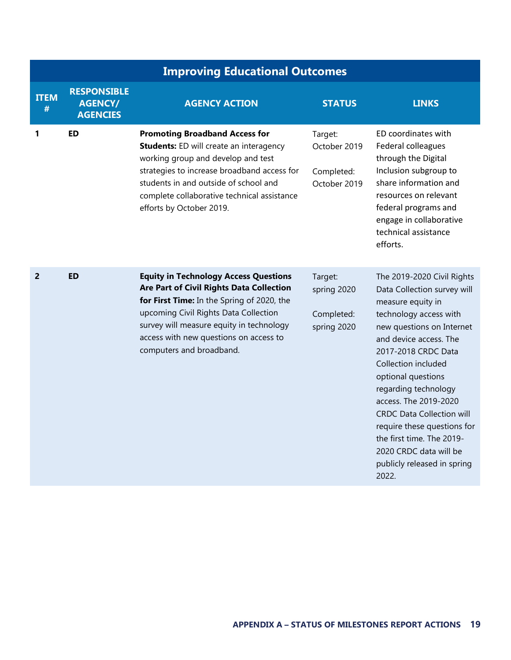|                  | <b>Improving Educational Outcomes</b>                   |                                                                                                                                                                                                                                                                                                   |                                                       |                                                                                                                                                                                                                                                                                                                                                                                                                                                        |  |
|------------------|---------------------------------------------------------|---------------------------------------------------------------------------------------------------------------------------------------------------------------------------------------------------------------------------------------------------------------------------------------------------|-------------------------------------------------------|--------------------------------------------------------------------------------------------------------------------------------------------------------------------------------------------------------------------------------------------------------------------------------------------------------------------------------------------------------------------------------------------------------------------------------------------------------|--|
| <b>ITEM</b><br># | <b>RESPONSIBLE</b><br><b>AGENCY/</b><br><b>AGENCIES</b> | <b>AGENCY ACTION</b>                                                                                                                                                                                                                                                                              | <b>STATUS</b>                                         | <b>LINKS</b>                                                                                                                                                                                                                                                                                                                                                                                                                                           |  |
| 1                | <b>ED</b>                                               | <b>Promoting Broadband Access for</b><br><b>Students:</b> ED will create an interagency<br>working group and develop and test<br>strategies to increase broadband access for<br>students in and outside of school and<br>complete collaborative technical assistance<br>efforts by October 2019.  | Target:<br>October 2019<br>Completed:<br>October 2019 | ED coordinates with<br>Federal colleagues<br>through the Digital<br>Inclusion subgroup to<br>share information and<br>resources on relevant<br>federal programs and<br>engage in collaborative<br>technical assistance<br>efforts.                                                                                                                                                                                                                     |  |
| $\overline{2}$   | <b>ED</b>                                               | <b>Equity in Technology Access Questions</b><br>Are Part of Civil Rights Data Collection<br>for First Time: In the Spring of 2020, the<br>upcoming Civil Rights Data Collection<br>survey will measure equity in technology<br>access with new questions on access to<br>computers and broadband. | Target:<br>spring 2020<br>Completed:<br>spring 2020   | The 2019-2020 Civil Rights<br>Data Collection survey will<br>measure equity in<br>technology access with<br>new questions on Internet<br>and device access. The<br>2017-2018 CRDC Data<br>Collection included<br>optional questions<br>regarding technology<br>access. The 2019-2020<br><b>CRDC Data Collection will</b><br>require these questions for<br>the first time. The 2019-<br>2020 CRDC data will be<br>publicly released in spring<br>2022. |  |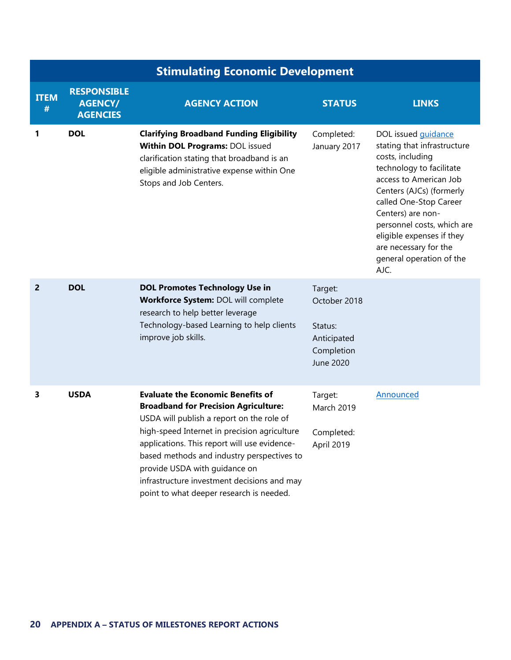|                  | <b>Stimulating Economic Development</b>                 |                                                                                                                                                                                                                                                                                                                                                                                                                |                                                                              |                                                                                                                                                                                                                                                                                                                                        |  |
|------------------|---------------------------------------------------------|----------------------------------------------------------------------------------------------------------------------------------------------------------------------------------------------------------------------------------------------------------------------------------------------------------------------------------------------------------------------------------------------------------------|------------------------------------------------------------------------------|----------------------------------------------------------------------------------------------------------------------------------------------------------------------------------------------------------------------------------------------------------------------------------------------------------------------------------------|--|
| <b>ITEM</b><br># | <b>RESPONSIBLE</b><br><b>AGENCY/</b><br><b>AGENCIES</b> | <b>AGENCY ACTION</b>                                                                                                                                                                                                                                                                                                                                                                                           | <b>STATUS</b>                                                                | <b>LINKS</b>                                                                                                                                                                                                                                                                                                                           |  |
| 1                | <b>DOL</b>                                              | <b>Clarifying Broadband Funding Eligibility</b><br>Within DOL Programs: DOL issued<br>clarification stating that broadband is an<br>eligible administrative expense within One<br>Stops and Job Centers.                                                                                                                                                                                                       | Completed:<br>January 2017                                                   | DOL issued <i>guidance</i><br>stating that infrastructure<br>costs, including<br>technology to facilitate<br>access to American Job<br>Centers (AJCs) (formerly<br>called One-Stop Career<br>Centers) are non-<br>personnel costs, which are<br>eligible expenses if they<br>are necessary for the<br>general operation of the<br>AJC. |  |
| $\overline{2}$   | <b>DOL</b>                                              | <b>DOL Promotes Technology Use in</b><br>Workforce System: DOL will complete<br>research to help better leverage<br>Technology-based Learning to help clients<br>improve job skills.                                                                                                                                                                                                                           | Target:<br>October 2018<br>Status:<br>Anticipated<br>Completion<br>June 2020 |                                                                                                                                                                                                                                                                                                                                        |  |
| 3                | <b>USDA</b>                                             | <b>Evaluate the Economic Benefits of</b><br><b>Broadband for Precision Agriculture:</b><br>USDA will publish a report on the role of<br>high-speed Internet in precision agriculture<br>applications. This report will use evidence-<br>based methods and industry perspectives to<br>provide USDA with guidance on<br>infrastructure investment decisions and may<br>point to what deeper research is needed. | Target:<br>March 2019<br>Completed:<br>April 2019                            | Announced                                                                                                                                                                                                                                                                                                                              |  |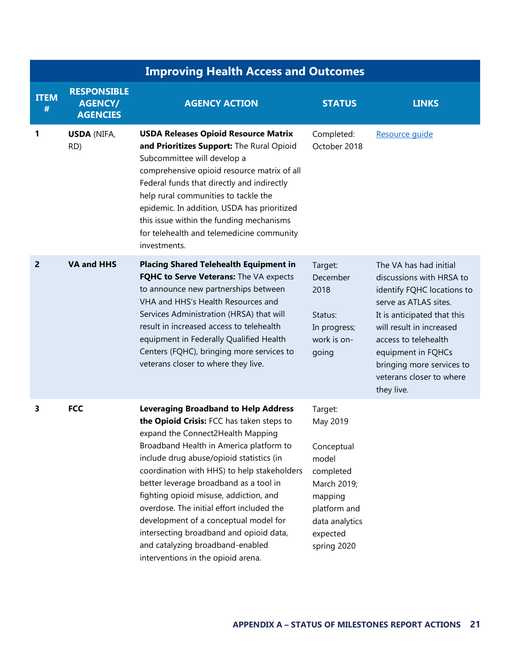|                  | <b>Improving Health Access and Outcomes</b>             |                                                                                                                                                                                                                                                                                                                                                                                                                                                                                                                                                                    |                                                                                                                                                |                                                                                                                                                                                                                                                                                           |  |
|------------------|---------------------------------------------------------|--------------------------------------------------------------------------------------------------------------------------------------------------------------------------------------------------------------------------------------------------------------------------------------------------------------------------------------------------------------------------------------------------------------------------------------------------------------------------------------------------------------------------------------------------------------------|------------------------------------------------------------------------------------------------------------------------------------------------|-------------------------------------------------------------------------------------------------------------------------------------------------------------------------------------------------------------------------------------------------------------------------------------------|--|
| <b>ITEM</b><br># | <b>RESPONSIBLE</b><br><b>AGENCY/</b><br><b>AGENCIES</b> | <b>AGENCY ACTION</b>                                                                                                                                                                                                                                                                                                                                                                                                                                                                                                                                               | <b>STATUS</b>                                                                                                                                  | <b>LINKS</b>                                                                                                                                                                                                                                                                              |  |
| 1                | <b>USDA (NIFA,</b><br>RD)                               | <b>USDA Releases Opioid Resource Matrix</b><br>and Prioritizes Support: The Rural Opioid<br>Subcommittee will develop a<br>comprehensive opioid resource matrix of all<br>Federal funds that directly and indirectly<br>help rural communities to tackle the<br>epidemic. In addition, USDA has prioritized<br>this issue within the funding mechanisms<br>for telehealth and telemedicine community<br>investments.                                                                                                                                               | Completed:<br>October 2018                                                                                                                     | Resource quide                                                                                                                                                                                                                                                                            |  |
| 2                | <b>VA and HHS</b>                                       | <b>Placing Shared Telehealth Equipment in</b><br>FQHC to Serve Veterans: The VA expects<br>to announce new partnerships between<br>VHA and HHS's Health Resources and<br>Services Administration (HRSA) that will<br>result in increased access to telehealth<br>equipment in Federally Qualified Health<br>Centers (FQHC), bringing more services to<br>veterans closer to where they live.                                                                                                                                                                       | Target:<br>December<br>2018<br>Status:<br>In progress;<br>work is on-<br>going                                                                 | The VA has had initial<br>discussions with HRSA to<br>identify FQHC locations to<br>serve as ATLAS sites.<br>It is anticipated that this<br>will result in increased<br>access to telehealth<br>equipment in FQHCs<br>bringing more services to<br>veterans closer to where<br>they live. |  |
| 3                | <b>FCC</b>                                              | <b>Leveraging Broadband to Help Address</b><br>the Opioid Crisis: FCC has taken steps to<br>expand the Connect2Health Mapping<br>Broadband Health in America platform to<br>include drug abuse/opioid statistics (in<br>coordination with HHS) to help stakeholders<br>better leverage broadband as a tool in<br>fighting opioid misuse, addiction, and<br>overdose. The initial effort included the<br>development of a conceptual model for<br>intersecting broadband and opioid data,<br>and catalyzing broadband-enabled<br>interventions in the opioid arena. | Target:<br>May 2019<br>Conceptual<br>model<br>completed<br>March 2019;<br>mapping<br>platform and<br>data analytics<br>expected<br>spring 2020 |                                                                                                                                                                                                                                                                                           |  |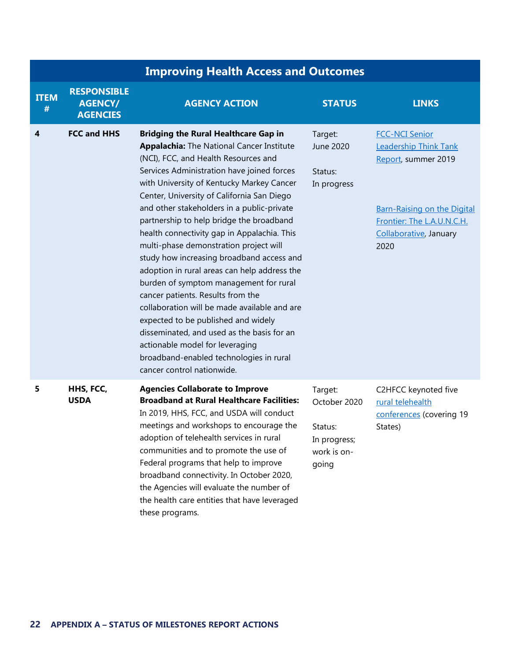|                  | <b>Improving Health Access and Outcomes</b>             |                                                                                                                                                                                                                                                                                                                                                                                                                                                                                                                                                                                                                                                                                                                                                                                                                                                                                                  |                                                                            |                                                                                                                                                                                    |
|------------------|---------------------------------------------------------|--------------------------------------------------------------------------------------------------------------------------------------------------------------------------------------------------------------------------------------------------------------------------------------------------------------------------------------------------------------------------------------------------------------------------------------------------------------------------------------------------------------------------------------------------------------------------------------------------------------------------------------------------------------------------------------------------------------------------------------------------------------------------------------------------------------------------------------------------------------------------------------------------|----------------------------------------------------------------------------|------------------------------------------------------------------------------------------------------------------------------------------------------------------------------------|
| <b>ITEM</b><br># | <b>RESPONSIBLE</b><br><b>AGENCY/</b><br><b>AGENCIES</b> | <b>AGENCY ACTION</b>                                                                                                                                                                                                                                                                                                                                                                                                                                                                                                                                                                                                                                                                                                                                                                                                                                                                             | <b>STATUS</b>                                                              | <b>LINKS</b>                                                                                                                                                                       |
| 4                | <b>FCC and HHS</b>                                      | <b>Bridging the Rural Healthcare Gap in</b><br><b>Appalachia:</b> The National Cancer Institute<br>(NCI), FCC, and Health Resources and<br>Services Administration have joined forces<br>with University of Kentucky Markey Cancer<br>Center, University of California San Diego<br>and other stakeholders in a public-private<br>partnership to help bridge the broadband<br>health connectivity gap in Appalachia. This<br>multi-phase demonstration project will<br>study how increasing broadband access and<br>adoption in rural areas can help address the<br>burden of symptom management for rural<br>cancer patients. Results from the<br>collaboration will be made available and are<br>expected to be published and widely<br>disseminated, and used as the basis for an<br>actionable model for leveraging<br>broadband-enabled technologies in rural<br>cancer control nationwide. | Target:<br>June 2020<br>Status:<br>In progress                             | <b>FCC-NCI Senior</b><br><b>Leadership Think Tank</b><br>Report, summer 2019<br><b>Barn-Raising on the Digital</b><br>Frontier: The L.A.U.N.C.H.<br>Collaborative, January<br>2020 |
| 5                | HHS, FCC,<br><b>USDA</b>                                | <b>Agencies Collaborate to Improve</b><br><b>Broadband at Rural Healthcare Facilities:</b><br>In 2019, HHS, FCC, and USDA will conduct<br>meetings and workshops to encourage the<br>adoption of telehealth services in rural<br>communities and to promote the use of<br>Federal programs that help to improve<br>broadband connectivity. In October 2020,<br>the Agencies will evaluate the number of<br>the health care entities that have leveraged<br>these programs.                                                                                                                                                                                                                                                                                                                                                                                                                       | Target:<br>October 2020<br>Status:<br>In progress;<br>work is on-<br>going | C2HFCC keynoted five<br>rural telehealth<br>conferences (covering 19<br>States)                                                                                                    |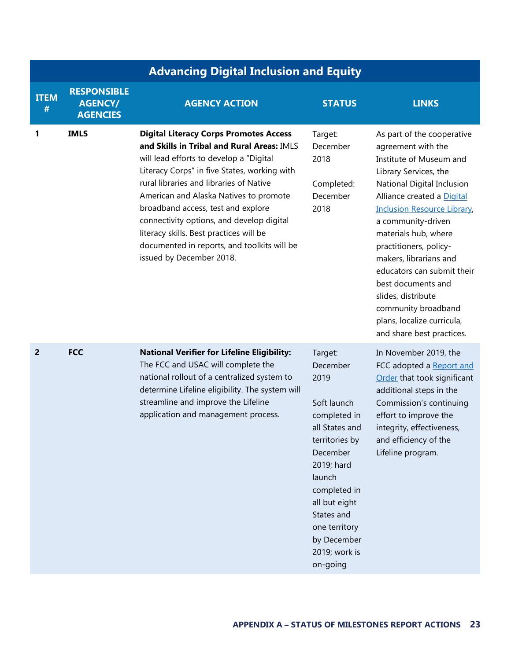|                  | <b>Advancing Digital Inclusion and Equity</b>           |                                                                                                                                                                                                                                                                                                                                                                                                                                                                                      |                                                                                                                                                                                                                                                |                                                                                                                                                                                                                                                                                                                                                                                                                                                                     |
|------------------|---------------------------------------------------------|--------------------------------------------------------------------------------------------------------------------------------------------------------------------------------------------------------------------------------------------------------------------------------------------------------------------------------------------------------------------------------------------------------------------------------------------------------------------------------------|------------------------------------------------------------------------------------------------------------------------------------------------------------------------------------------------------------------------------------------------|---------------------------------------------------------------------------------------------------------------------------------------------------------------------------------------------------------------------------------------------------------------------------------------------------------------------------------------------------------------------------------------------------------------------------------------------------------------------|
| <b>ITEM</b><br># | <b>RESPONSIBLE</b><br><b>AGENCY/</b><br><b>AGENCIES</b> | <b>AGENCY ACTION</b>                                                                                                                                                                                                                                                                                                                                                                                                                                                                 | <b>STATUS</b>                                                                                                                                                                                                                                  | <b>LINKS</b>                                                                                                                                                                                                                                                                                                                                                                                                                                                        |
| 1                | <b>IMLS</b>                                             | <b>Digital Literacy Corps Promotes Access</b><br>and Skills in Tribal and Rural Areas: IMLS<br>will lead efforts to develop a "Digital<br>Literacy Corps" in five States, working with<br>rural libraries and libraries of Native<br>American and Alaska Natives to promote<br>broadband access, test and explore<br>connectivity options, and develop digital<br>literacy skills. Best practices will be<br>documented in reports, and toolkits will be<br>issued by December 2018. | Target:<br>December<br>2018<br>Completed:<br>December<br>2018                                                                                                                                                                                  | As part of the cooperative<br>agreement with the<br>Institute of Museum and<br>Library Services, the<br>National Digital Inclusion<br>Alliance created a Digital<br><b>Inclusion Resource Library</b><br>a community-driven<br>materials hub, where<br>practitioners, policy-<br>makers, librarians and<br>educators can submit their<br>best documents and<br>slides, distribute<br>community broadband<br>plans, localize curricula,<br>and share best practices. |
| $\overline{2}$   | <b>FCC</b>                                              | <b>National Verifier for Lifeline Eligibility:</b><br>The FCC and USAC will complete the<br>national rollout of a centralized system to<br>determine Lifeline eligibility. The system will<br>streamline and improve the Lifeline<br>application and management process.                                                                                                                                                                                                             | Target:<br>December<br>2019<br>Soft launch<br>completed in<br>all States and<br>territories by<br>December<br>2019; hard<br>launch<br>completed in<br>all but eight<br>States and<br>one territory<br>by December<br>2019; work is<br>on-going | In November 2019, the<br>FCC adopted a Report and<br>Order that took significant<br>additional steps in the<br>Commission's continuing<br>effort to improve the<br>integrity, effectiveness,<br>and efficiency of the<br>Lifeline program.                                                                                                                                                                                                                          |